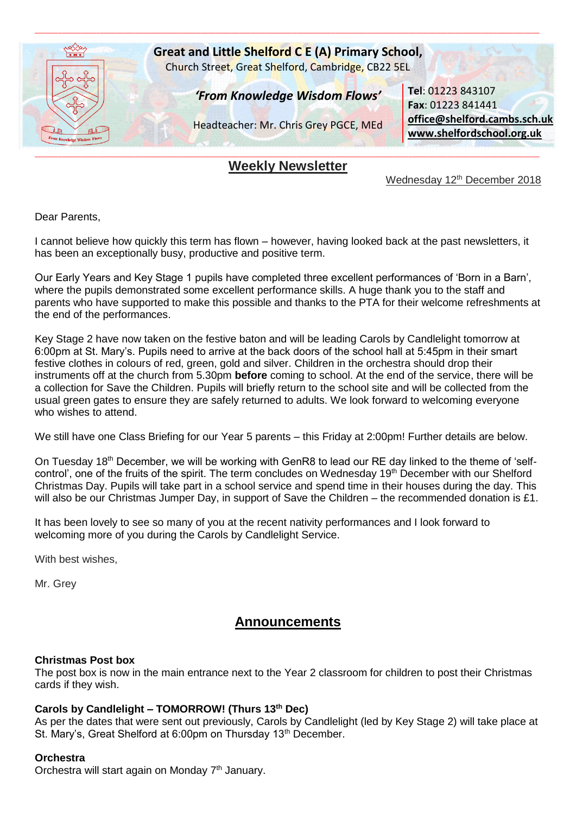

# **Weekly Newsletter**

Wednesday 12<sup>th</sup> December 2018

Dear Parents,

I cannot believe how quickly this term has flown – however, having looked back at the past newsletters, it has been an exceptionally busy, productive and positive term.

Our Early Years and Key Stage 1 pupils have completed three excellent performances of 'Born in a Barn', where the pupils demonstrated some excellent performance skills. A huge thank you to the staff and parents who have supported to make this possible and thanks to the PTA for their welcome refreshments at the end of the performances.

Key Stage 2 have now taken on the festive baton and will be leading Carols by Candlelight tomorrow at 6:00pm at St. Mary's. Pupils need to arrive at the back doors of the school hall at 5:45pm in their smart festive clothes in colours of red, green, gold and silver. Children in the orchestra should drop their instruments off at the church from 5.30pm **before** coming to school. At the end of the service, there will be a collection for Save the Children. Pupils will briefly return to the school site and will be collected from the usual green gates to ensure they are safely returned to adults. We look forward to welcoming everyone who wishes to attend.

We still have one Class Briefing for our Year 5 parents – this Friday at 2:00pm! Further details are below.

On Tuesday 18<sup>th</sup> December, we will be working with GenR8 to lead our RE day linked to the theme of 'selfcontrol', one of the fruits of the spirit. The term concludes on Wednesday 19<sup>th</sup> December with our Shelford Christmas Day. Pupils will take part in a school service and spend time in their houses during the day. This will also be our Christmas Jumper Day, in support of Save the Children – the recommended donation is £1.

It has been lovely to see so many of you at the recent nativity performances and I look forward to welcoming more of you during the Carols by Candlelight Service.

With best wishes,

Mr. Grey

# **Announcements**

### **Christmas Post box**

The post box is now in the main entrance next to the Year 2 classroom for children to post their Christmas cards if they wish.

### **Carols by Candlelight – TOMORROW! (Thurs 13th Dec)**

As per the dates that were sent out previously, Carols by Candlelight (led by Key Stage 2) will take place at St. Mary's, Great Shelford at 6:00pm on Thursday 13<sup>th</sup> December.

### **Orchestra**

Orchestra will start again on Monday  $7<sup>th</sup>$  January.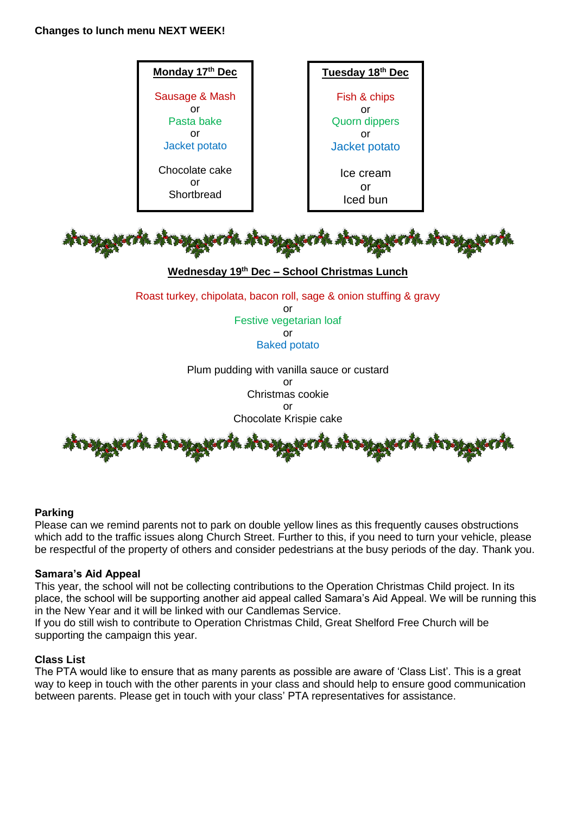# **Changes to lunch menu NEXT WEEK!**



### **Parking**

Please can we remind parents not to park on double yellow lines as this frequently causes obstructions which add to the traffic issues along Church Street. Further to this, if you need to turn your vehicle, please be respectful of the property of others and consider pedestrians at the busy periods of the day. Thank you.

### **Samara's Aid Appeal**

This year, the school will not be collecting contributions to the Operation Christmas Child project. In its place, the school will be supporting another aid appeal called Samara's Aid Appeal. We will be running this in the New Year and it will be linked with our Candlemas Service.

If you do still wish to contribute to Operation Christmas Child, Great Shelford Free Church will be supporting the campaign this year.

### **Class List**

The PTA would like to ensure that as many parents as possible are aware of 'Class List'. This is a great way to keep in touch with the other parents in your class and should help to ensure good communication between parents. Please get in touch with your class' PTA representatives for assistance.